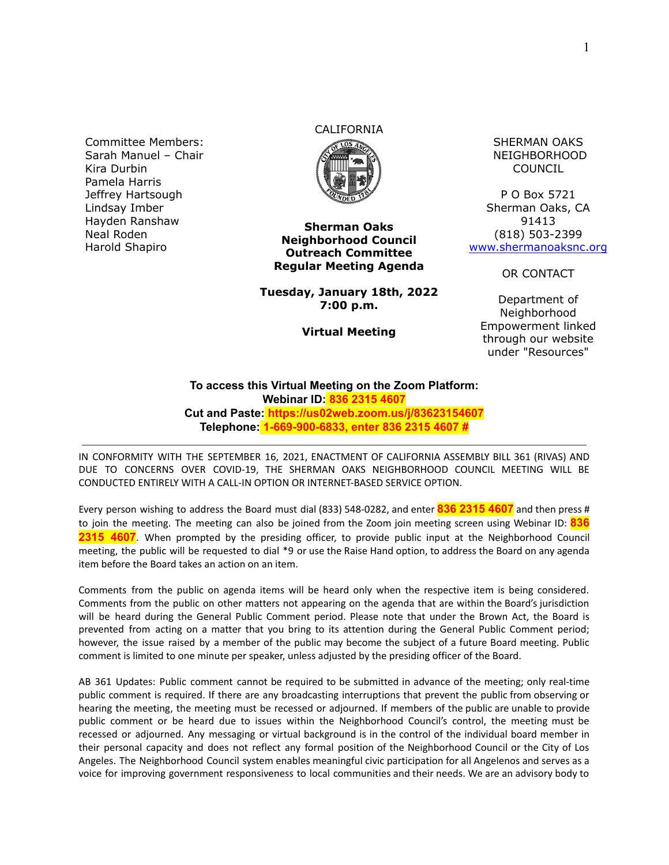Committee Members: Sarah Manuel – Chair Kira Durbin Pamela Harris Jeffrey Hartsough Lindsay Imber Hayden Ranshaw Neal Roden Harold Shapiro

# CALIFORNIA



**Sherman Oaks Neighborhood Council Outreach Committee Regular Meeting Agenda**

**Tuesday, January 18th, 2022 7:00 p.m.**

**Virtual Meeting**

SHERMAN OAKS NEIGHBORHOOD COUNCIL

P O Box 5721 Sherman Oaks, CA 91413 (818) 503-2399 [www.shermanoaksnc.org](http://www.shermanoaksnc.org/)

OR CONTACT

Department of Neighborhood Empowerment linked through our website under "Resources"

#### **To access this Virtual Meeting on the Zoom Platform: Webinar ID: 836 2315 4607 Cut and Paste: https://us02web.zoom.us/j/83623154607 Telephone: 1-669-900-6833, enter 836 2315 4607 #**

IN CONFORMITY WITH THE SEPTEMBER 16, 2021, ENACTMENT OF CALIFORNIA ASSEMBLY BILL 361 (RIVAS) AND DUE TO CONCERNS OVER COVID-19, THE SHERMAN OAKS NEIGHBORHOOD COUNCIL MEETING WILL BE CONDUCTED ENTIRELY WITH A CALL-IN OPTION OR INTERNET-BASED SERVICE OPTION.

Every person wishing to address the Board must dial (833) 548-0282, and enter **836 2315 4607** and then press # to join the meeting. The meeting can also be joined from the Zoom join meeting screen using Webinar ID: **836 2315 4607**. When prompted by the presiding officer, to provide public input at the Neighborhood Council meeting, the public will be requested to dial \*9 or use the Raise Hand option, to address the Board on any agenda item before the Board takes an action on an item.

Comments from the public on agenda items will be heard only when the respective item is being considered. Comments from the public on other matters not appearing on the agenda that are within the Board's jurisdiction will be heard during the General Public Comment period. Please note that under the Brown Act, the Board is prevented from acting on a matter that you bring to its attention during the General Public Comment period; however, the issue raised by a member of the public may become the subject of a future Board meeting. Public comment is limited to one minute per speaker, unless adjusted by the presiding officer of the Board.

AB 361 Updates: Public comment cannot be required to be submitted in advance of the meeting; only real-time public comment is required. If there are any broadcasting interruptions that prevent the public from observing or hearing the meeting, the meeting must be recessed or adjourned. If members of the public are unable to provide public comment or be heard due to issues within the Neighborhood Council's control, the meeting must be recessed or adjourned. Any messaging or virtual background is in the control of the individual board member in their personal capacity and does not reflect any formal position of the Neighborhood Council or the City of Los Angeles. The Neighborhood Council system enables meaningful civic participation for all Angelenos and serves as a voice for improving government responsiveness to local communities and their needs. We are an advisory body to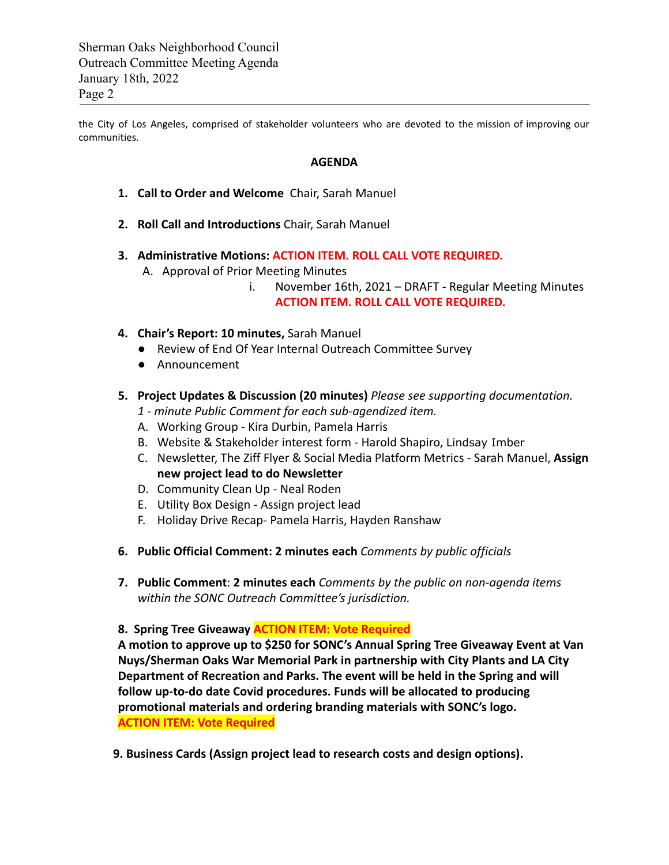Sherman Oaks Neighborhood Council Outreach Committee Meeting Agenda January 18th, 2022 Page 2

the City of Los Angeles, comprised of stakeholder volunteers who are devoted to the mission of improving our communities.

#### **AGENDA**

- **1. Call to Order and Welcome** Chair, Sarah Manuel
- **2. Roll Call and Introductions** Chair, Sarah Manuel
- **3. Administrative Motions: ACTION ITEM. ROLL CALL VOTE REQUIRED.**
	- A. Approval of Prior Meeting Minutes
		- i. November 16th, 2021 DRAFT Regular Meeting Minutes **ACTION ITEM. ROLL CALL VOTE REQUIRED.**
- **4. Chair's Report: 10 minutes,** Sarah Manuel
	- Review of End Of Year Internal Outreach Committee Survey
	- Announcement

## **5. Project Updates & Discussion (20 minutes)** *Please see supporting documentation.*

- *1 minute Public Comment for each sub-agendized item.*
- A. Working Group Kira Durbin, Pamela Harris
- B. Website & Stakeholder interest form Harold Shapiro, Lindsay Imber
- C. Newsletter, The Ziff Flyer & Social Media Platform Metrics Sarah Manuel, **Assign new project lead to do Newsletter**
- D. Community Clean Up Neal Roden
- E. Utility Box Design Assign project lead
- F. Holiday Drive Recap- Pamela Harris, Hayden Ranshaw
- **6. Public Official Comment: 2 minutes each** *Comments by public officials*
- **7. Public Comment**: **2 minutes each** *Comments by the public on non-agenda items within the SONC Outreach Committee's jurisdiction.*

**8. Spring Tree Giveaway ACTION ITEM: Vote Required**

**A motion to approve up to \$250 for SONC's Annual Spring Tree Giveaway Event at Van Nuys/Sherman Oaks War Memorial Park in partnership with City Plants and LA City Department of Recreation and Parks. The event will be held in the Spring and will follow up-to-do date Covid procedures. Funds will be allocated to producing promotional materials and ordering branding materials with SONC's logo. ACTION ITEM: Vote Required**

**9. Business Cards (Assign project lead to research costs and design options).**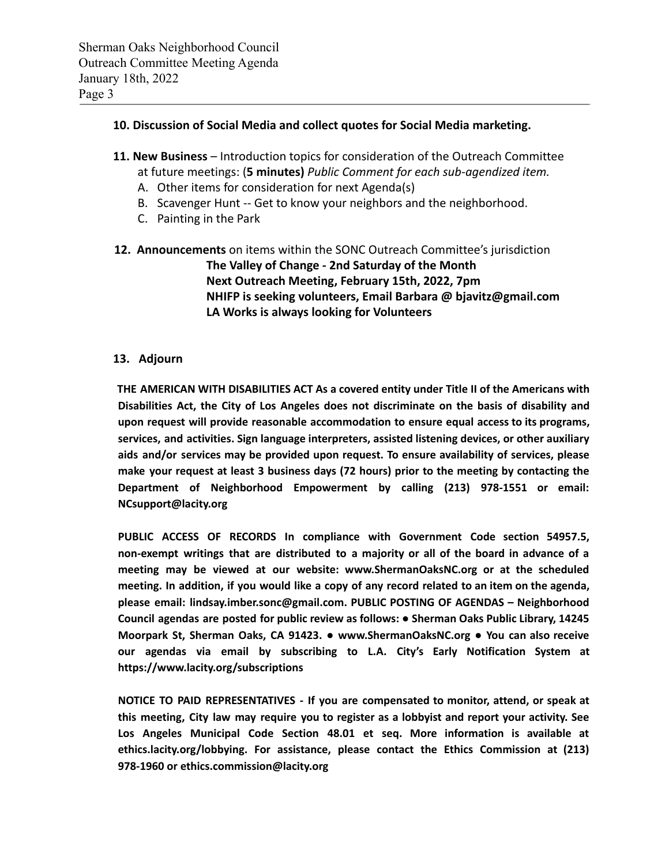# **10. Discussion of Social Media and collect quotes for Social Media marketing.**

- **11. New Business** Introduction topics for consideration of the Outreach Committee at future meetings: (**5 minutes)** *Public Comment for each sub-agendized item.*
	- A. Other items for consideration for next Agenda(s)
	- B. Scavenger Hunt -- Get to know your neighbors and the neighborhood.
	- C. Painting in the Park
- **12. Announcements** on items within the SONC Outreach Committee's jurisdiction **The Valley of Change - 2nd Saturday of the Month Next Outreach Meeting, February 15th, 2022, 7pm NHIFP is seeking volunteers, Email Barbara @ bjavitz@gmail.com LA Works is always looking for Volunteers**

## **13. Adjourn**

**THE AMERICAN WITH DISABILITIES ACT As a covered entity under Title II of the Americans with Disabilities Act, the City of Los Angeles does not discriminate on the basis of disability and upon request will provide reasonable accommodation to ensure equal access to its programs, services, and activities. Sign language interpreters, assisted listening devices, or other auxiliary aids and/or services may be provided upon request. To ensure availability of services, please make your request at least 3 business days (72 hours) prior to the meeting by contacting the Department of Neighborhood Empowerment by calling (213) 978-1551 or email: NCsupport@lacity.org**

**PUBLIC ACCESS OF RECORDS In compliance with Government Code section 54957.5, non-exempt writings that are distributed to a majority or all of the board in advance of a meeting may be viewed at our website: www.ShermanOaksNC.org or at the scheduled** meeting. In addition, if you would like a copy of any record related to an item on the agenda, **please email: lindsay.imber.sonc@gmail.com. PUBLIC POSTING OF AGENDAS – Neighborhood Council agendas are posted for public review as follows: ● Sherman Oaks Public Library, 14245 Moorpark St, Sherman Oaks, CA 91423. ● www.ShermanOaksNC.org ● You can also receive our agendas via email by subscribing to L.A. City's Early Notification System at https://www.lacity.org/subscriptions**

**NOTICE TO PAID REPRESENTATIVES - If you are compensated to monitor, attend, or speak at this meeting, City law may require you to register as a lobbyist and report your activity. See Los Angeles Municipal Code Section 48.01 et seq. More information is available at ethics.lacity.org/lobbying. For assistance, please contact the Ethics Commission at (213) 978-1960 or ethics.commission@lacity.org**